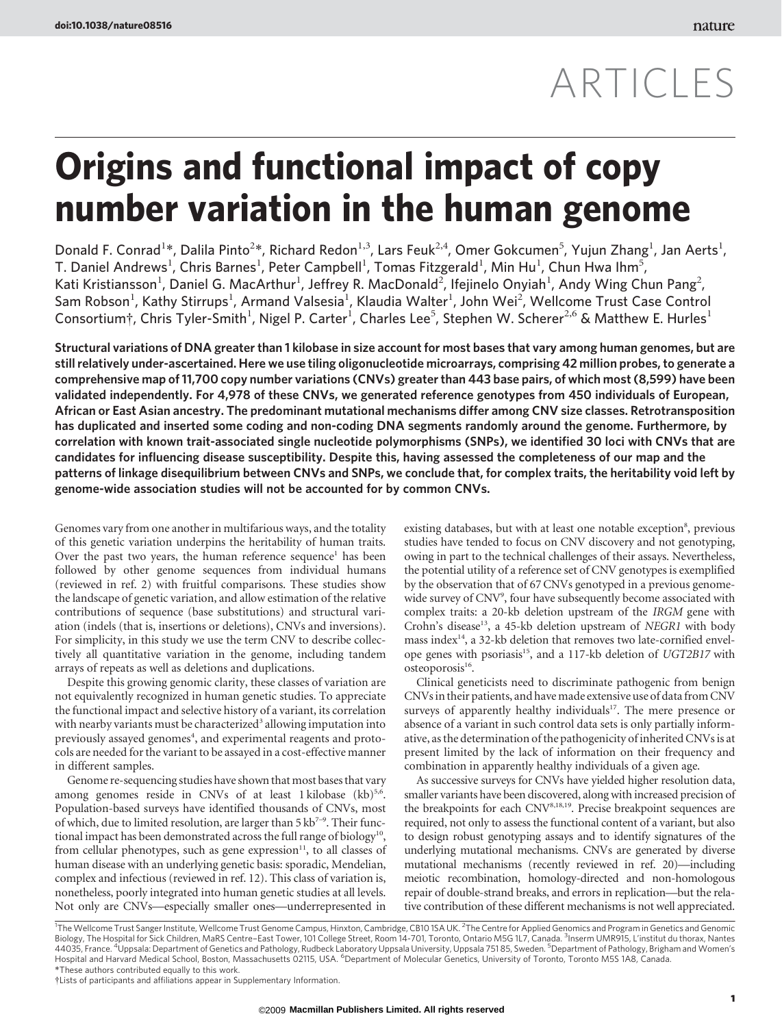# ARTICLES

## Origins and functional impact of copy number variation in the human genome

Donald F. Conrad<sup>1</sup>\*, Dalila Pinto<sup>2</sup>\*, Richard Redon<sup>1,3</sup>, Lars Feuk<sup>2,4</sup>, Omer Gokcumen<sup>5</sup>, Yujun Zhang<sup>1</sup>, Jan Aerts<sup>1</sup>, T. Daniel Andrews<sup>1</sup>, Chris Barnes<sup>1</sup>, Peter Campbell<sup>1</sup>, Tomas Fitzgerald<sup>1</sup>, Min Hu<sup>1</sup>, Chun Hwa Ihm<sup>5</sup>, Kati Kristiansson $^1$ , Daniel G. MacArthur $^1$ , Jeffrey R. MacDonald $^2$ , Ifejinelo Onyiah $^1$ , Andy Wing Chun Pang $^2$ , Sam Robson<sup>1</sup>, Kathy Stirrups<sup>1</sup>, Armand Valsesia<sup>1</sup>, Klaudia Walter<sup>1</sup>, John Wei<sup>2</sup>, Wellcome Trust Case Control Consortium $\dagger$ , Chris Tyler-Smith<sup>1</sup>, Nigel P. Carter<sup>1</sup>, Charles Lee<sup>5</sup>, Stephen W. Scherer<sup>2,6</sup> & Matthew E. Hurles<sup>1</sup>

Structural variations of DNA greater than 1 kilobase in size account for most bases that vary among human genomes, but are still relatively under-ascertained. Here we use tiling oligonucleotide microarrays, comprising 42 million probes, to generate a comprehensive map of 11,700 copy number variations (CNVs) greater than 443 base pairs, of which most (8,599) have been validated independently. For 4,978 of these CNVs, we generated reference genotypes from 450 individuals of European, African or East Asian ancestry. The predominant mutational mechanisms differ among CNV size classes. Retrotransposition has duplicated and inserted some coding and non-coding DNA segments randomly around the genome. Furthermore, by correlation with known trait-associated single nucleotide polymorphisms (SNPs), we identified 30 loci with CNVs that are candidates for influencing disease susceptibility. Despite this, having assessed the completeness of our map and the patterns of linkage disequilibrium between CNVs and SNPs, we conclude that, for complex traits, the heritability void left by genome-wide association studies will not be accounted for by common CNVs.

Genomes vary from one another in multifarious ways, and the totality of this genetic variation underpins the heritability of human traits. Over the past two years, the human reference sequence<sup>1</sup> has been followed by other genome sequences from individual humans (reviewed in ref. 2) with fruitful comparisons. These studies show the landscape of genetic variation, and allow estimation of the relative contributions of sequence (base substitutions) and structural variation (indels (that is, insertions or deletions), CNVs and inversions). For simplicity, in this study we use the term CNV to describe collectively all quantitative variation in the genome, including tandem arrays of repeats as well as deletions and duplications.

Despite this growing genomic clarity, these classes of variation are not equivalently recognized in human genetic studies. To appreciate the functional impact and selective history of a variant, its correlation with nearby variants must be characterized<sup>3</sup> allowing imputation into previously assayed genomes<sup>4</sup>, and experimental reagents and protocols are needed for the variant to be assayed in a cost-effective manner in different samples.

Genome re-sequencing studies have shown that most bases that vary among genomes reside in CNVs of at least 1 kilobase  $(kb)^{5,6}$ . Population-based surveys have identified thousands of CNVs, most of which, due to limited resolution, are larger than 5 kb<sup>7-9</sup>. Their functional impact has been demonstrated across the full range of biology<sup>10</sup>, from cellular phenotypes, such as gene  $expression<sup>11</sup>$ , to all classes of human disease with an underlying genetic basis: sporadic, Mendelian, complex and infectious (reviewed in ref. 12). This class of variation is, nonetheless, poorly integrated into human genetic studies at all levels. Not only are CNVs—especially smaller ones—underrepresented in

existing databases, but with at least one notable exception<sup>8</sup>, previous studies have tended to focus on CNV discovery and not genotyping, owing in part to the technical challenges of their assays. Nevertheless, the potential utility of a reference set of CNV genotypes is exemplified by the observation that of 67 CNVs genotyped in a previous genomewide survey of CNV<sup>9</sup>, four have subsequently become associated with complex traits: a 20-kb deletion upstream of the IRGM gene with Crohn's disease<sup>13</sup>, a 45-kb deletion upstream of NEGR1 with body mass index<sup>14</sup>, a 32-kb deletion that removes two late-cornified envelope genes with psoriasis<sup>15</sup>, and a 117-kb deletion of UGT2B17 with osteoporosis<sup>16</sup>.

Clinical geneticists need to discriminate pathogenic from benign CNVs in their patients, and have made extensive use of data from CNV surveys of apparently healthy individuals<sup>17</sup>. The mere presence or absence of a variant in such control data sets is only partially informative, as the determination of the pathogenicity of inherited CNVs is at present limited by the lack of information on their frequency and combination in apparently healthy individuals of a given age.

As successive surveys for CNVs have yielded higher resolution data, smaller variants have been discovered, along with increased precision of the breakpoints for each CNV8,18,19. Precise breakpoint sequences are required, not only to assess the functional content of a variant, but also to design robust genotyping assays and to identify signatures of the underlying mutational mechanisms. CNVs are generated by diverse mutational mechanisms (recently reviewed in ref. 20)—including meiotic recombination, homology-directed and non-homologous repair of double-strand breaks, and errors in replication—but the relative contribution of these different mechanisms is not well appreciated.

*<sup>\*</sup>*These authors contributed equally to this work. <sup>1</sup>The Wellcome Trust Sanger Institute, Wellcome Trust Genome Campus, Hinxton, Cambridge, CB10 1SA UK. <sup>2</sup>The Centre for Applied Genomics and Program in Genetics and Genomic Biology, The Hospital for Sick Children, MaRS Centre–East Tower, 101 College Street, Room 14-701, Toronto, Ontario M5G 1L7, Canada. <sup>3</sup>Inserm UMR915, L'institut du thorax, Nantes 44035, France. <sup>4</sup>Uppsala: Department of Genetics and Pathology, Rudbeck Laboratory Uppsala University, Uppsala 751 85, Sweden. <sup>5</sup>Department of Pathology, Brigham and Women's Hospital and Harvard Medical School, Boston, Massachusetts 02115, USA. <sup>6</sup>Department of Molecular Genetics, University of Toronto, Toronto M5S 1A8, Canada.

<sup>{</sup>Lists of participants and affiliations appear in Supplementary Information.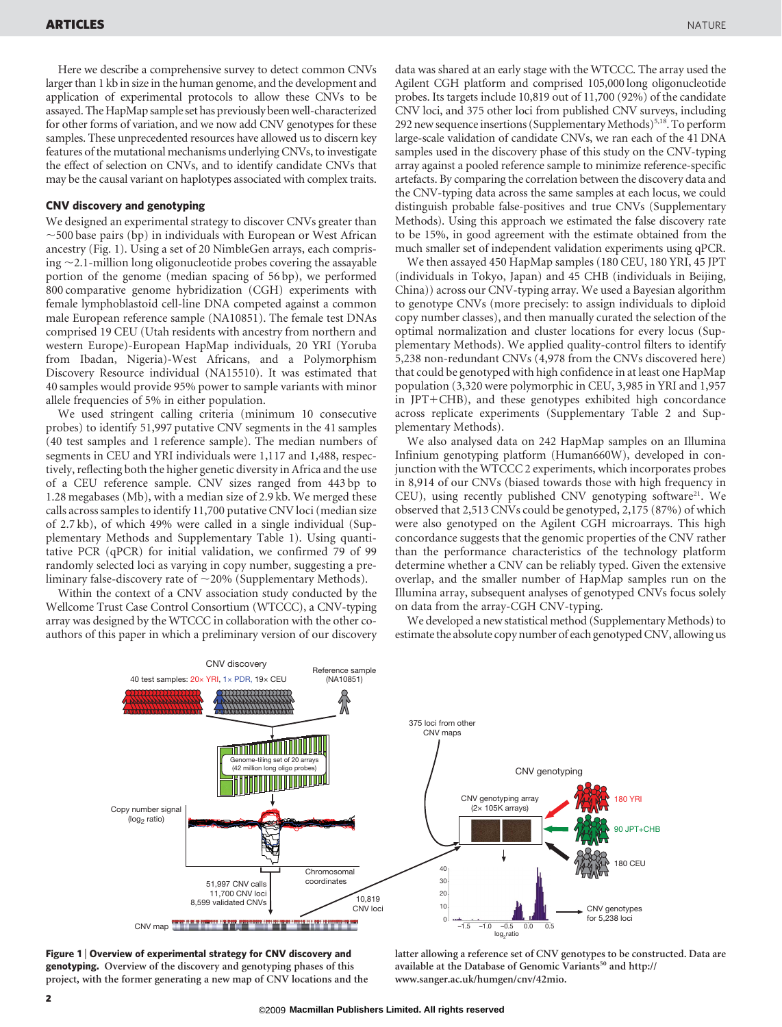Here we describe a comprehensive survey to detect common CNVs larger than 1 kb in size in the human genome, and the development and application of experimental protocols to allow these CNVs to be assayed. The HapMap sample set has previously been well-characterized for other forms of variation, and we now add CNV genotypes for these samples. These unprecedented resources have allowed us to discern key features of the mutational mechanisms underlying CNVs, to investigate the effect of selection on CNVs, and to identify candidate CNVs that may be the causal variant on haplotypes associated with complex traits.

### CNV discovery and genotyping

We designed an experimental strategy to discover CNVs greater than  $\sim$ 500 base pairs (bp) in individuals with European or West African ancestry (Fig. 1). Using a set of 20 NimbleGen arrays, each comprising  $\sim$  2.1-million long oligonucleotide probes covering the assayable portion of the genome (median spacing of 56 bp), we performed 800 comparative genome hybridization (CGH) experiments with female lymphoblastoid cell-line DNA competed against a common male European reference sample (NA10851). The female test DNAs comprised 19 CEU (Utah residents with ancestry from northern and western Europe)-European HapMap individuals, 20 YRI (Yoruba from Ibadan, Nigeria)-West Africans, and a Polymorphism Discovery Resource individual (NA15510). It was estimated that 40 samples would provide 95% power to sample variants with minor allele frequencies of 5% in either population.

We used stringent calling criteria (minimum 10 consecutive probes) to identify 51,997 putative CNV segments in the 41 samples (40 test samples and 1 reference sample). The median numbers of segments in CEU and YRI individuals were 1,117 and 1,488, respectively, reflecting both the higher genetic diversity in Africa and the use of a CEU reference sample. CNV sizes ranged from 443 bp to 1.28 megabases (Mb), with a median size of 2.9 kb. We merged these calls across samples to identify 11,700 putative CNV loci (median size of 2.7 kb), of which 49% were called in a single individual (Supplementary Methods and Supplementary Table 1). Using quantitative PCR (qPCR) for initial validation, we confirmed 79 of 99 randomly selected loci as varying in copy number, suggesting a preliminary false-discovery rate of  $\sim$ 20% (Supplementary Methods).

Within the context of a CNV association study conducted by the Wellcome Trust Case Control Consortium (WTCCC), a CNV-typing array was designed by the WTCCC in collaboration with the other coauthors of this paper in which a preliminary version of our discovery data was shared at an early stage with the WTCCC. The array used the Agilent CGH platform and comprised 105,000 long oligonucleotide probes. Its targets include 10,819 out of 11,700 (92%) of the candidate CNV loci, and 375 other loci from published CNV surveys, including 292 new sequence insertions (Supplementary Methods)<sup>5,18</sup>. To perform large-scale validation of candidate CNVs, we ran each of the 41 DNA samples used in the discovery phase of this study on the CNV-typing array against a pooled reference sample to minimize reference-specific artefacts. By comparing the correlation between the discovery data and the CNV-typing data across the same samples at each locus, we could distinguish probable false-positives and true CNVs (Supplementary Methods). Using this approach we estimated the false discovery rate to be 15%, in good agreement with the estimate obtained from the much smaller set of independent validation experiments using qPCR.

We then assayed 450 HapMap samples (180 CEU, 180 YRI, 45 JPT (individuals in Tokyo, Japan) and 45 CHB (individuals in Beijing, China)) across our CNV-typing array. We used a Bayesian algorithm to genotype CNVs (more precisely: to assign individuals to diploid copy number classes), and then manually curated the selection of the optimal normalization and cluster locations for every locus (Supplementary Methods). We applied quality-control filters to identify 5,238 non-redundant CNVs (4,978 from the CNVs discovered here) that could be genotyped with high confidence in at least one HapMap population (3,320 were polymorphic in CEU, 3,985 in YRI and 1,957 in JPT+CHB), and these genotypes exhibited high concordance across replicate experiments (Supplementary Table 2 and Supplementary Methods).

We also analysed data on 242 HapMap samples on an Illumina Infinium genotyping platform (Human660W), developed in conjunction with the WTCCC 2 experiments, which incorporates probes in 8,914 of our CNVs (biased towards those with high frequency in CEU), using recently published CNV genotyping software<sup>21</sup>. We observed that 2,513 CNVs could be genotyped, 2,175 (87%) of which were also genotyped on the Agilent CGH microarrays. This high concordance suggests that the genomic properties of the CNV rather than the performance characteristics of the technology platform determine whether a CNV can be reliably typed. Given the extensive overlap, and the smaller number of HapMap samples run on the Illumina array, subsequent analyses of genotyped CNVs focus solely on data from the array-CGH CNV-typing.

We developed a new statistical method (Supplementary Methods) to estimate the absolute copy number of each genotyped CNV, allowing us



Figure 1 | Overview of experimental strategy for CNV discovery and genotyping. Overview of the discovery and genotyping phases of this project, with the former generating a new map of CNV locations and the

latter allowing a reference set of CNV genotypes to be constructed. Data are available at the Database of Genomic Variants<sup>50</sup> and [http://](http://www.sanger.ac.uk/humgen/cnv/42mio) [www.sanger.ac.uk/humgen/cnv/42mio.](http://www.sanger.ac.uk/humgen/cnv/42mio)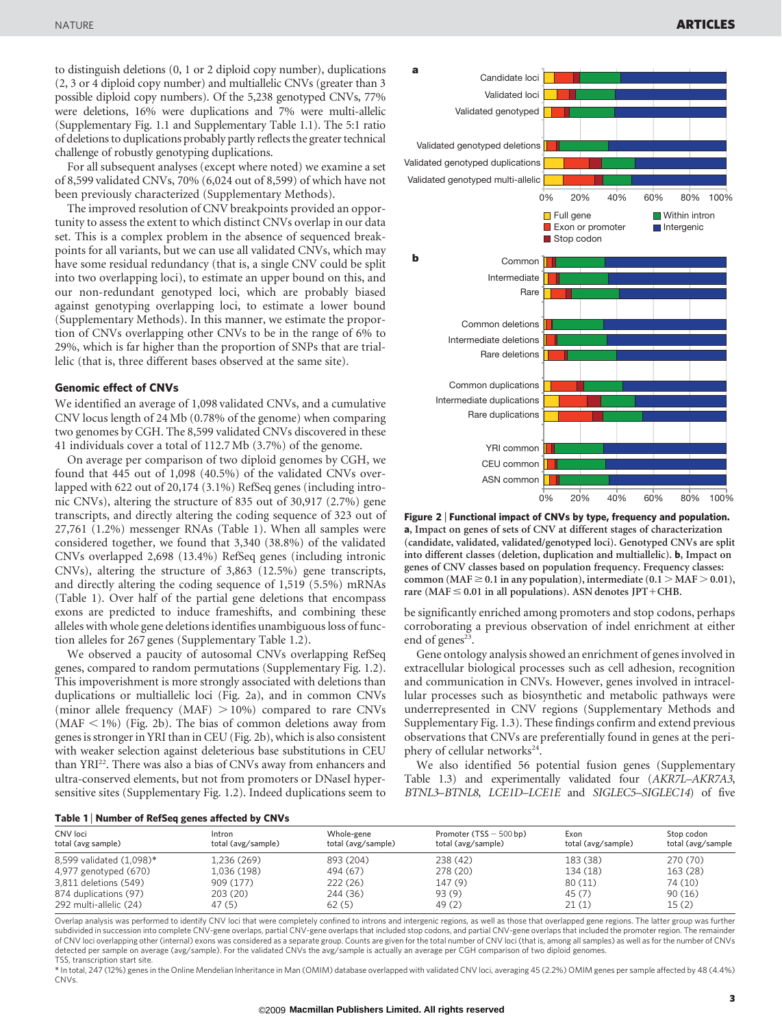to distinguish deletions (0, 1 or 2 diploid copy number), duplications (2, 3 or 4 diploid copy number) and multiallelic CNVs (greater than 3 possible diploid copy numbers). Of the 5,238 genotyped CNVs, 77% were deletions, 16% were duplications and 7% were multi-allelic (Supplementary Fig. 1.1 and Supplementary Table 1.1). The 5:1 ratio of deletions to duplications probably partly reflects the greater technical challenge of robustly genotyping duplications.

For all subsequent analyses (except where noted) we examine a set of 8,599 validated CNVs, 70% (6,024 out of 8,599) of which have not been previously characterized (Supplementary Methods).

The improved resolution of CNV breakpoints provided an opportunity to assess the extent to which distinct CNVs overlap in our data set. This is a complex problem in the absence of sequenced breakpoints for all variants, but we can use all validated CNVs, which may have some residual redundancy (that is, a single CNV could be split into two overlapping loci), to estimate an upper bound on this, and our non-redundant genotyped loci, which are probably biased against genotyping overlapping loci, to estimate a lower bound (Supplementary Methods). In this manner, we estimate the proportion of CNVs overlapping other CNVs to be in the range of 6% to 29%, which is far higher than the proportion of SNPs that are triallelic (that is, three different bases observed at the same site).

## Genomic effect of CNVs

We identified an average of 1,098 validated CNVs, and a cumulative CNV locus length of 24 Mb (0.78% of the genome) when comparing two genomes by CGH. The 8,599 validated CNVs discovered in these 41 individuals cover a total of 112.7 Mb (3.7%) of the genome.

On average per comparison of two diploid genomes by CGH, we found that 445 out of 1,098 (40.5%) of the validated CNVs overlapped with 622 out of 20,174 (3.1%) RefSeq genes (including intronic CNVs), altering the structure of 835 out of 30,917 (2.7%) gene transcripts, and directly altering the coding sequence of 323 out of 27,761 (1.2%) messenger RNAs (Table 1). When all samples were considered together, we found that 3,340 (38.8%) of the validated CNVs overlapped 2,698 (13.4%) RefSeq genes (including intronic CNVs), altering the structure of 3,863 (12.5%) gene transcripts, and directly altering the coding sequence of 1,519 (5.5%) mRNAs (Table 1). Over half of the partial gene deletions that encompass exons are predicted to induce frameshifts, and combining these alleles with whole gene deletions identifies unambiguous loss of function alleles for 267 genes (Supplementary Table 1.2).

We observed a paucity of autosomal CNVs overlapping RefSeq genes, compared to random permutations (Supplementary Fig. 1.2). This impoverishment is more strongly associated with deletions than duplications or multiallelic loci (Fig. 2a), and in common CNVs (minor allele frequency  $(MAF) > 10\%)$  compared to rare CNVs  $(MAF < 1\%)$  (Fig. 2b). The bias of common deletions away from genes is stronger in YRI than in CEU (Fig. 2b), which is also consistent with weaker selection against deleterious base substitutions in CEU than YRI<sup>22</sup>. There was also a bias of CNVs away from enhancers and ultra-conserved elements, but not from promoters or DNaseI hypersensitive sites (Supplementary Fig. 1.2). Indeed duplications seem to



Figure 2 <sup>|</sup> Functional impact of CNVs by type, frequency and population. a, Impact on genes of sets of CNV at different stages of characterization (candidate, validated, validated/genotyped loci). Genotyped CNVs are split into different classes (deletion, duplication and multiallelic). b, Impact on genes of CNV classes based on population frequency. Frequency classes: common (MAF  $\geq$  0.1 in any population), intermediate (0.1  $>$  MAF  $>$  0.01), rare (MAF  $\leq$  0.01 in all populations). ASN denotes JPT+CHB.

be significantly enriched among promoters and stop codons, perhaps corroborating a previous observation of indel enrichment at either end of genes<sup>23</sup>.

Gene ontology analysis showed an enrichment of genes involved in extracellular biological processes such as cell adhesion, recognition and communication in CNVs. However, genes involved in intracellular processes such as biosynthetic and metabolic pathways were underrepresented in CNV regions (Supplementary Methods and Supplementary Fig. 1.3). These findings confirm and extend previous observations that CNVs are preferentially found in genes at the periphery of cellular networks<sup>24</sup>.

We also identified 56 potential fusion genes (Supplementary Table 1.3) and experimentally validated four (AKR7L–AKR7A3, BTNL3–BTNL8, LCE1D–LCE1E and SIGLEC5–SIGLEC14) of five

|  |  |  |  |  | Table 1   Number of RefSeq genes affected by CNVs |  |  |
|--|--|--|--|--|---------------------------------------------------|--|--|
|--|--|--|--|--|---------------------------------------------------|--|--|

| CNV loci                 | Intron             | Whole-gene         | Promoter $(TSS - 500 bp)$ | Exon               | Stop codon        |  |  |  |
|--------------------------|--------------------|--------------------|---------------------------|--------------------|-------------------|--|--|--|
| total (avg sample)       | total (avg/sample) | total (avg/sample) | total (avg/sample)        | total (avg/sample) | total (avg/sample |  |  |  |
| 8,599 validated (1,098)* | 1.236 (269)        | 893 (204)          | 238 (42)                  | 183 (38)           | 270 (70)          |  |  |  |
| 4,977 genotyped (670)    | 1.036 (198)        | 494 (67)           | 278 (20)                  | 134 (18)           | 163 (28)          |  |  |  |
| 3,811 deletions (549)    | 909 (177)          | 222(26)            | 147 (9)                   | 80 (11)            | 74 (10)           |  |  |  |
| 874 duplications (97)    | 203(20)            | 244 (36)           | 93(9)                     | 45(7)              | 90(16)            |  |  |  |
| 292 multi-allelic (24)   | 47 (5)             | 62(5)              | 49 (2)                    | 21(1)              | 15(2)             |  |  |  |

Overlap analysis was performed to identify CNV loci that were completely confined to introns and intergenic regions, as well as those that overlapped gene regions. The latter group was further subdivided in succession into complete CNV-gene overlaps, partial CNV-gene overlaps that included stop codons, and partial CNV-gene overlaps that included the promoter region. The remainder of CNV loci overlapping other (internal) exons was considered as a separate group. Counts are given for the total number of CNV loci (that is, among all samples) as well as for the number of CNVs detected per sample on average (avg/sample). For the validated CNVs the avg/sample is actually an average per CGH comparison of two diploid genomes. TSS, transcription start site.

\* In total, 247 (12%) genes in the Online Mendelian Inheritance in Man (OMIM) database overlapped with validated CNV loci, averaging 45 (2.2%) OMIM genes per sample affected by 48 (4.4%) **CNVs**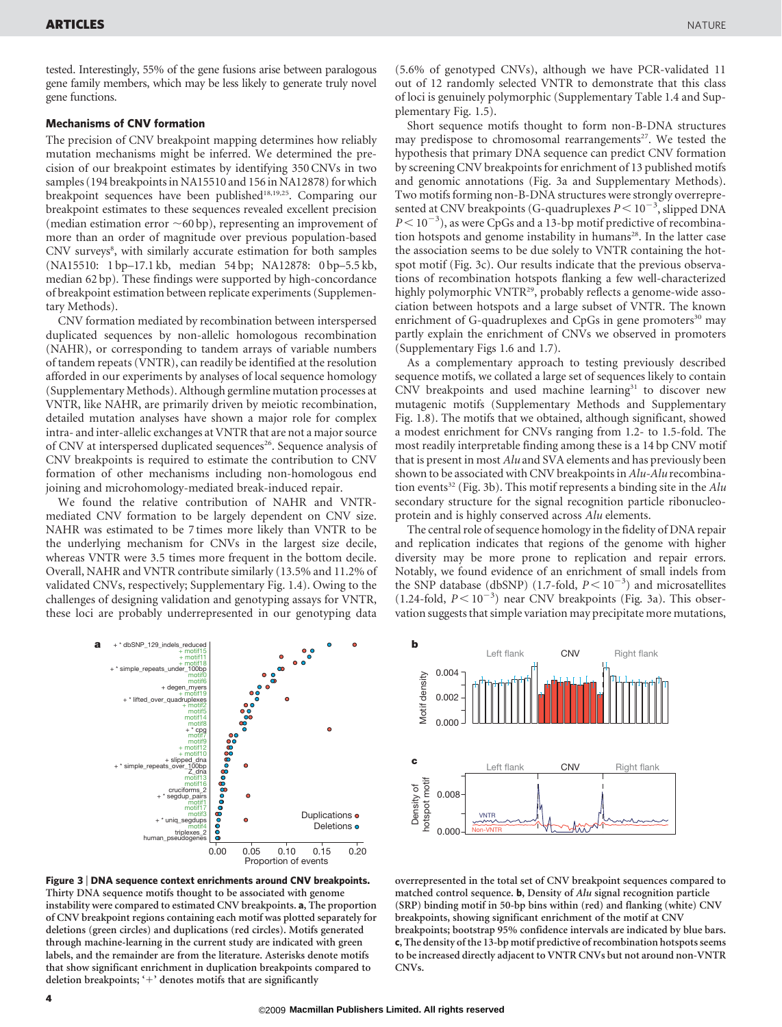tested. Interestingly, 55% of the gene fusions arise between paralogous gene family members, which may be less likely to generate truly novel gene functions.

## Mechanisms of CNV formation

The precision of CNV breakpoint mapping determines how reliably mutation mechanisms might be inferred. We determined the precision of our breakpoint estimates by identifying 350 CNVs in two samples (194 breakpoints in NA15510 and 156 in NA12878) for which breakpoint sequences have been published<sup>18,19,25</sup>. Comparing our breakpoint estimates to these sequences revealed excellent precision (median estimation error  $\sim$  60 bp), representing an improvement of more than an order of magnitude over previous population-based CNV surveys<sup>8</sup>, with similarly accurate estimation for both samples (NA15510: 1 bp–17.1 kb, median 54 bp; NA12878: 0 bp–5.5 kb, median 62 bp). These findings were supported by high-concordance of breakpoint estimation between replicate experiments (Supplementary Methods).

CNV formation mediated by recombination between interspersed duplicated sequences by non-allelic homologous recombination (NAHR), or corresponding to tandem arrays of variable numbers of tandem repeats (VNTR), can readily be identified at the resolution afforded in our experiments by analyses of local sequence homology (Supplementary Methods). Although germline mutation processes at VNTR, like NAHR, are primarily driven by meiotic recombination, detailed mutation analyses have shown a major role for complex intra- and inter-allelic exchanges at VNTR that are not a major source of CNV at interspersed duplicated sequences<sup>26</sup>. Sequence analysis of CNV breakpoints is required to estimate the contribution to CNV formation of other mechanisms including non-homologous end joining and microhomology-mediated break-induced repair.

We found the relative contribution of NAHR and VNTRmediated CNV formation to be largely dependent on CNV size. NAHR was estimated to be 7 times more likely than VNTR to be the underlying mechanism for CNVs in the largest size decile, whereas VNTR were 3.5 times more frequent in the bottom decile. Overall, NAHR and VNTR contribute similarly (13.5% and 11.2% of validated CNVs, respectively; Supplementary Fig. 1.4). Owing to the challenges of designing validation and genotyping assays for VNTR, these loci are probably underrepresented in our genotyping data (5.6% of genotyped CNVs), although we have PCR-validated 11 out of 12 randomly selected VNTR to demonstrate that this class of loci is genuinely polymorphic (Supplementary Table 1.4 and Supplementary Fig. 1.5).

Short sequence motifs thought to form non-B-DNA structures may predispose to chromosomal rearrangements<sup>27</sup>. We tested the hypothesis that primary DNA sequence can predict CNV formation by screening CNV breakpoints for enrichment of 13 published motifs and genomic annotations (Fig. 3a and Supplementary Methods). Two motifs forming non-B-DNA structures were strongly overrepresented at CNV breakpoints (G-quadruplexes  $P < 10^{-3}$ , slipped DNA  $P < 10^{-3}$ ), as were CpGs and a 13-bp motif predictive of recombination hotspots and genome instability in humans<sup>28</sup>. In the latter case the association seems to be due solely to VNTR containing the hotspot motif (Fig. 3c). Our results indicate that the previous observations of recombination hotspots flanking a few well-characterized highly polymorphic VNTR<sup>29</sup>, probably reflects a genome-wide association between hotspots and a large subset of VNTR. The known enrichment of G-quadruplexes and CpGs in gene promoters<sup>30</sup> may partly explain the enrichment of CNVs we observed in promoters (Supplementary Figs 1.6 and 1.7).

As a complementary approach to testing previously described sequence motifs, we collated a large set of sequences likely to contain CNV breakpoints and used machine learning<sup>31</sup> to discover new mutagenic motifs (Supplementary Methods and Supplementary Fig. 1.8). The motifs that we obtained, although significant, showed a modest enrichment for CNVs ranging from 1.2- to 1.5-fold. The most readily interpretable finding among these is a 14 bp CNV motif that is present in most Alu and SVA elements and has previously been shown to be associated with CNV breakpoints in Alu-Alu recombination events<sup>32</sup> (Fig. 3b). This motif represents a binding site in the Alu secondary structure for the signal recognition particle ribonucleoprotein and is highly conserved across Alu elements.

The central role of sequence homology in the fidelity of DNA repair and replication indicates that regions of the genome with higher diversity may be more prone to replication and repair errors. Notably, we found evidence of an enrichment of small indels from the SNP database (dbSNP) (1.7-fold,  $P < 10^{-3}$ ) and microsatellites (1.24-fold,  $P < 10^{-3}$ ) near CNV breakpoints (Fig. 3a). This observation suggests that simple variation may precipitate more mutations,







overrepresented in the total set of CNV breakpoint sequences compared to matched control sequence. b, Density of Alu signal recognition particle (SRP) binding motif in 50-bp bins within (red) and flanking (white) CNV breakpoints, showing significant enrichment of the motif at CNV breakpoints; bootstrap 95% confidence intervals are indicated by blue bars. c, The density of the 13-bp motif predictive of recombination hotspots seems to be increased directly adjacent to VNTR CNVs but not around non-VNTR CNVs.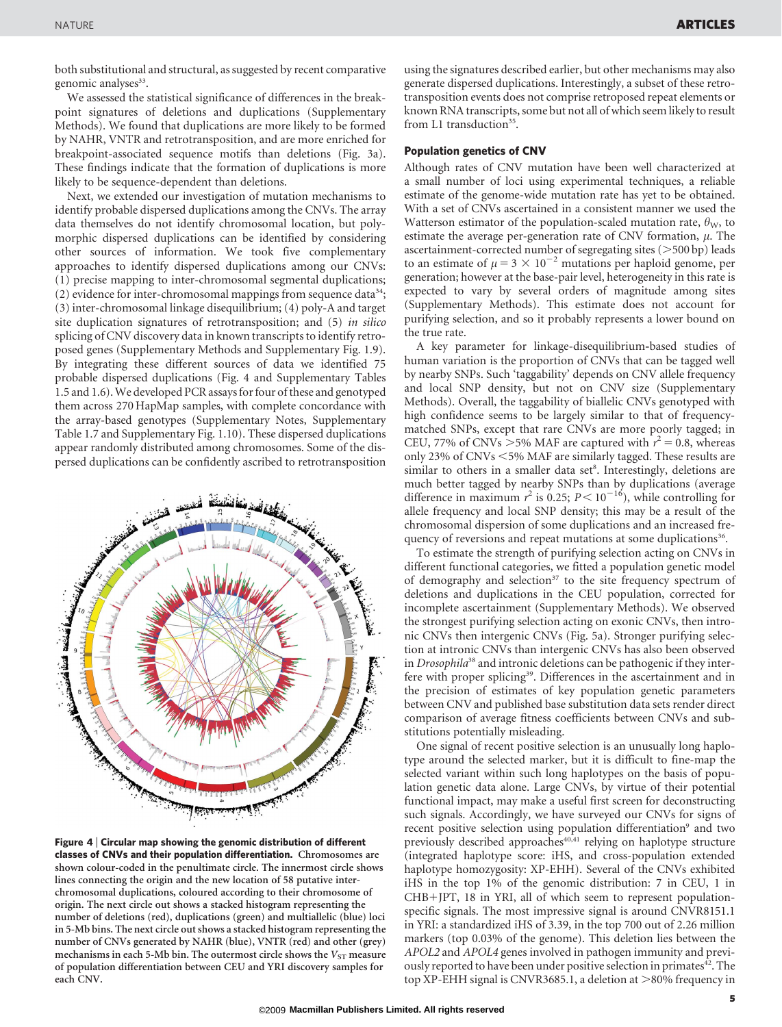both substitutional and structural, as suggested by recent comparative genomic analyses<sup>33</sup>.

We assessed the statistical significance of differences in the breakpoint signatures of deletions and duplications (Supplementary Methods). We found that duplications are more likely to be formed by NAHR, VNTR and retrotransposition, and are more enriched for breakpoint-associated sequence motifs than deletions (Fig. 3a). These findings indicate that the formation of duplications is more likely to be sequence-dependent than deletions.

Next, we extended our investigation of mutation mechanisms to identify probable dispersed duplications among the CNVs. The array data themselves do not identify chromosomal location, but polymorphic dispersed duplications can be identified by considering other sources of information. We took five complementary approaches to identify dispersed duplications among our CNVs: (1) precise mapping to inter-chromosomal segmental duplications; (2) evidence for inter-chromosomal mappings from sequence data<sup>34</sup>; (3) inter-chromosomal linkage disequilibrium; (4) poly-A and target site duplication signatures of retrotransposition; and (5) in silico splicing of CNV discovery data in known transcripts to identify retroposed genes (Supplementary Methods and Supplementary Fig. 1.9). By integrating these different sources of data we identified 75 probable dispersed duplications (Fig. 4 and Supplementary Tables 1.5 and 1.6). We developed PCR assays for four of these and genotyped them across 270 HapMap samples, with complete concordance with the array-based genotypes (Supplementary Notes, Supplementary Table 1.7 and Supplementary Fig. 1.10). These dispersed duplications appear randomly distributed among chromosomes. Some of the dispersed duplications can be confidently ascribed to retrotransposition



Figure 4 <sup>|</sup> Circular map showing the genomic distribution of different classes of CNVs and their population differentiation. Chromosomes are shown colour-coded in the penultimate circle. The innermost circle shows lines connecting the origin and the new location of 58 putative interchromosomal duplications, coloured according to their chromosome of origin. The next circle out shows a stacked histogram representing the number of deletions (red), duplications (green) and multiallelic (blue) loci in 5-Mb bins. The next circle out shows a stacked histogram representing the number of CNVs generated by NAHR (blue), VNTR (red) and other (grey) mechanisms in each 5-Mb bin. The outermost circle shows the  $V_{ST}$  measure of population differentiation between CEU and YRI discovery samples for each CNV.

using the signatures described earlier, but other mechanisms may also generate dispersed duplications. Interestingly, a subset of these retrotransposition events does not comprise retroposed repeat elements or known RNA transcripts, some but not all of which seem likely to result from L1 transduction<sup>35</sup>.

## Population genetics of CNV

Although rates of CNV mutation have been well characterized at a small number of loci using experimental techniques, a reliable estimate of the genome-wide mutation rate has yet to be obtained. With a set of CNVs ascertained in a consistent manner we used the Watterson estimator of the population-scaled mutation rate,  $\theta_{\rm W}$ , to estimate the average per-generation rate of CNV formation,  $\mu$ . The ascertainment-corrected number of segregating sites  $($ >500 bp) leads to an estimate of  $\mu = 3 \times 10^{-2}$  mutations per haploid genome, per generation; however at the base-pair level, heterogeneity in this rate is expected to vary by several orders of magnitude among sites (Supplementary Methods). This estimate does not account for purifying selection, and so it probably represents a lower bound on the true rate.

A key parameter for linkage-disequilibrium-based studies of human variation is the proportion of CNVs that can be tagged well by nearby SNPs. Such 'taggability' depends on CNV allele frequency and local SNP density, but not on CNV size (Supplementary Methods). Overall, the taggability of biallelic CNVs genotyped with high confidence seems to be largely similar to that of frequencymatched SNPs, except that rare CNVs are more poorly tagged; in CEU, 77% of CNVs > 5% MAF are captured with  $r^2 = 0.8$ , whereas only 23% of CNVs  $\leq$ 5% MAF are similarly tagged. These results are similar to others in a smaller data set<sup>8</sup>. Interestingly, deletions are much better tagged by nearby SNPs than by duplications (average difference in maximum  $r^2$  is 0.25;  $P < 10^{-16}$ ), while controlling for allele frequency and local SNP density; this may be a result of the chromosomal dispersion of some duplications and an increased frequency of reversions and repeat mutations at some duplications<sup>36</sup>.

To estimate the strength of purifying selection acting on CNVs in different functional categories, we fitted a population genetic model of demography and selection<sup>37</sup> to the site frequency spectrum of deletions and duplications in the CEU population, corrected for incomplete ascertainment (Supplementary Methods). We observed the strongest purifying selection acting on exonic CNVs, then intronic CNVs then intergenic CNVs (Fig. 5a). Stronger purifying selection at intronic CNVs than intergenic CNVs has also been observed in Drosophila<sup>38</sup> and intronic deletions can be pathogenic if they interfere with proper splicing<sup>39</sup>. Differences in the ascertainment and in the precision of estimates of key population genetic parameters between CNV and published base substitution data sets render direct comparison of average fitness coefficients between CNVs and substitutions potentially misleading.

One signal of recent positive selection is an unusually long haplotype around the selected marker, but it is difficult to fine-map the selected variant within such long haplotypes on the basis of population genetic data alone. Large CNVs, by virtue of their potential functional impact, may make a useful first screen for deconstructing such signals. Accordingly, we have surveyed our CNVs for signs of recent positive selection using population differentiation<sup>9</sup> and two previously described approaches<sup>40,41</sup> relying on haplotype structure (integrated haplotype score: iHS, and cross-population extended haplotype homozygosity: XP-EHH). Several of the CNVs exhibited iHS in the top 1% of the genomic distribution: 7 in CEU, 1 in  $CHB+JPT$ , 18 in YRI, all of which seem to represent populationspecific signals. The most impressive signal is around CNVR8151.1 in YRI: a standardized iHS of 3.39, in the top 700 out of 2.26 million markers (top 0.03% of the genome). This deletion lies between the APOL2 and APOL4 genes involved in pathogen immunity and previously reported to have been under positive selection in primates<sup>42</sup>. The top XP-EHH signal is CNVR3685.1, a deletion at  $>$ 80% frequency in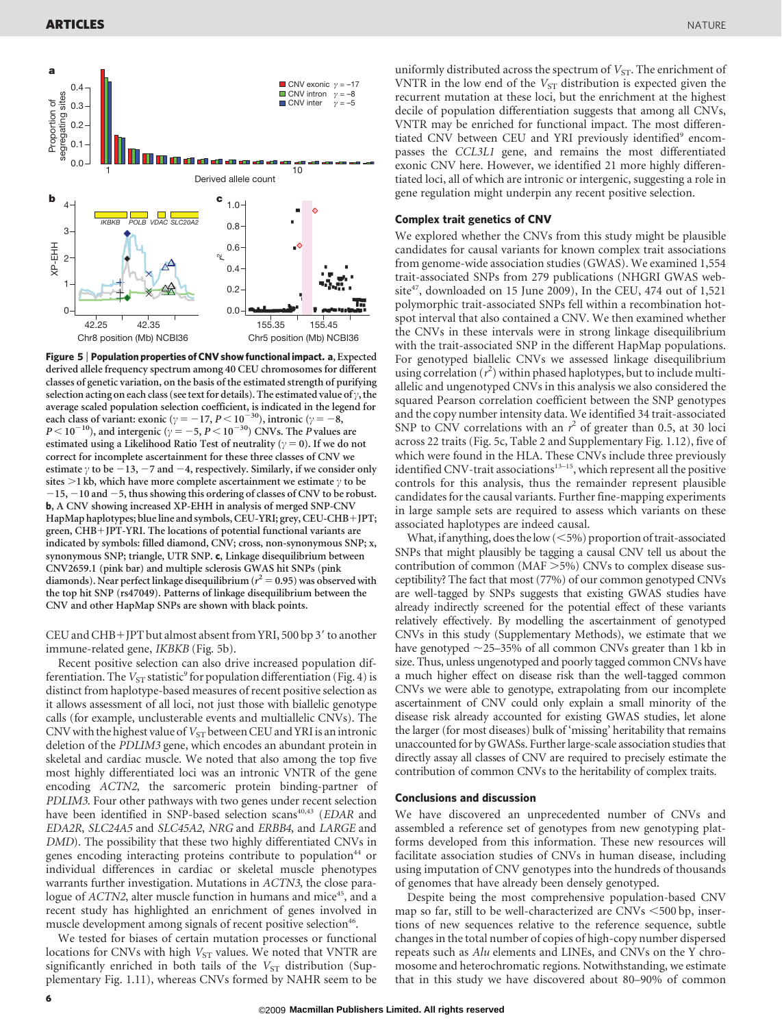

Figure 5 <sup>|</sup> Population properties of CNV show functional impact. a, Expected derived allele frequency spectrum among 40 CEU chromosomes for different classes of genetic variation, on the basis of the estimated strength of purifying selection acting on each class (see text for details). The estimated value of  $\gamma$ , the average scaled population selection coefficient, is indicated in the legend for each class of variant: exonic ( $\gamma = -17$ ,  $P < 10^{-30}$ ), intronic ( $\gamma = -8$ ,  $P \le 10^{-10}$ ), and intergenic ( $\gamma = -5$ ,  $P \le 10^{-30}$ ) CNVs. The P values are estimated using a Likelihood Ratio Test of neutrality ( $\gamma = 0$ ). If we do not correct for incomplete ascertainment for these three classes of CNV we estimate  $\gamma$  to be  $-13$ ,  $-7$  and  $-4$ , respectively. Similarly, if we consider only sites  $>$ 1 kb, which have more complete ascertainment we estimate  $\gamma$  to be  $-15$ ,  $-10$  and  $-5$ , thus showing this ordering of classes of CNV to be robust. b, A CNV showing increased XP-EHH in analysis of merged SNP-CNV HapMap haplotypes; blue line and symbols, CEU-YRI; grey, CEU-CHB+JPT; green, CHB+JPT-YRI. The locations of potential functional variants are indicated by symbols: filled diamond, CNV; cross, non-synonymous SNP; x, synonymous SNP; triangle, UTR SNP. c, Linkage disequilibrium between CNV2659.1 (pink bar) and multiple sclerosis GWAS hit SNPs (pink diamonds). Near perfect linkage disequilibrium ( $r^2 = 0.95$ ) was observed with the top hit SNP (rs47049). Patterns of linkage disequilibrium between the CNV and other HapMap SNPs are shown with black points.

CEU and CHB+JPT but almost absent from YRI, 500 bp  $3'$  to another immune-related gene, IKBKB (Fig. 5b).

Recent positive selection can also drive increased population differentiation. The  $V_{ST}$  statistic<sup>9</sup> for population differentiation (Fig. 4) is distinct from haplotype-based measures of recent positive selection as it allows assessment of all loci, not just those with biallelic genotype calls (for example, unclusterable events and multiallelic CNVs). The CNV with the highest value of  $V_{ST}$  between CEU and YRI is an intronic deletion of the PDLIM3 gene, which encodes an abundant protein in skeletal and cardiac muscle. We noted that also among the top five most highly differentiated loci was an intronic VNTR of the gene encoding ACTN2, the sarcomeric protein binding-partner of PDLIM3. Four other pathways with two genes under recent selection have been identified in SNP-based selection scans<sup>40,43</sup> (EDAR and EDA2R, SLC24A5 and SLC45A2, NRG and ERBB4, and LARGE and DMD). The possibility that these two highly differentiated CNVs in genes encoding interacting proteins contribute to population<sup>44</sup> or individual differences in cardiac or skeletal muscle phenotypes warrants further investigation. Mutations in ACTN3, the close paralogue of ACTN2, alter muscle function in humans and mice<sup>45</sup>, and a recent study has highlighted an enrichment of genes involved in muscle development among signals of recent positive selection<sup>46</sup>.

We tested for biases of certain mutation processes or functional locations for CNVs with high  $V_{ST}$  values. We noted that VNTR are significantly enriched in both tails of the  $V_{ST}$  distribution (Supplementary Fig. 1.11), whereas CNVs formed by NAHR seem to be

uniformly distributed across the spectrum of  $V_{ST}$ . The enrichment of VNTR in the low end of the  $V_{ST}$  distribution is expected given the recurrent mutation at these loci, but the enrichment at the highest decile of population differentiation suggests that among all CNVs, VNTR may be enriched for functional impact. The most differentiated CNV between CEU and YRI previously identified<sup>9</sup> encompasses the CCL3L1 gene, and remains the most differentiated exonic CNV here. However, we identified 21 more highly differentiated loci, all of which are intronic or intergenic, suggesting a role in gene regulation might underpin any recent positive selection.

#### Complex trait genetics of CNV

We explored whether the CNVs from this study might be plausible candidates for causal variants for known complex trait associations from genome-wide association studies (GWAS). We examined 1,554 trait-associated SNPs from 279 publications (NHGRI GWAS website<sup>47</sup>, downloaded on 15 June 2009), In the CEU, 474 out of  $1,521$ polymorphic trait-associated SNPs fell within a recombination hotspot interval that also contained a CNV. We then examined whether the CNVs in these intervals were in strong linkage disequilibrium with the trait-associated SNP in the different HapMap populations. For genotyped biallelic CNVs we assessed linkage disequilibrium using correlation  $(r^2)$  within phased haplotypes, but to include multiallelic and ungenotyped CNVs in this analysis we also considered the squared Pearson correlation coefficient between the SNP genotypes and the copy number intensity data. We identified 34 trait-associated SNP to CNV correlations with an  $r^2$  of greater than 0.5, at 30 loci across 22 traits (Fig. 5c, Table 2 and Supplementary Fig. 1.12), five of which were found in the HLA. These CNVs include three previously identified CNV-trait associations<sup>13-15</sup>, which represent all the positive controls for this analysis, thus the remainder represent plausible candidates for the causal variants. Further fine-mapping experiments in large sample sets are required to assess which variants on these associated haplotypes are indeed causal.

What, if anything, does the low  $(<$  5%) proportion of trait-associated SNPs that might plausibly be tagging a causal CNV tell us about the contribution of common (MAF  $>5\%$ ) CNVs to complex disease susceptibility? The fact that most (77%) of our common genotyped CNVs are well-tagged by SNPs suggests that existing GWAS studies have already indirectly screened for the potential effect of these variants relatively effectively. By modelling the ascertainment of genotyped CNVs in this study (Supplementary Methods), we estimate that we have genotyped  $\sim$ 25–35% of all common CNVs greater than 1 kb in size. Thus, unless ungenotyped and poorly tagged common CNVs have a much higher effect on disease risk than the well-tagged common CNVs we were able to genotype, extrapolating from our incomplete ascertainment of CNV could only explain a small minority of the disease risk already accounted for existing GWAS studies, let alone the larger (for most diseases) bulk of 'missing' heritability that remains unaccounted for by GWASs. Further large-scale association studies that directly assay all classes of CNV are required to precisely estimate the contribution of common CNVs to the heritability of complex traits.

#### Conclusions and discussion

We have discovered an unprecedented number of CNVs and assembled a reference set of genotypes from new genotyping platforms developed from this information. These new resources will facilitate association studies of CNVs in human disease, including using imputation of CNV genotypes into the hundreds of thousands of genomes that have already been densely genotyped.

Despite being the most comprehensive population-based CNV map so far, still to be well-characterized are CNVs  $\leq$ 500 bp, insertions of new sequences relative to the reference sequence, subtle changes in the total number of copies of high-copy number dispersed repeats such as Alu elements and LINEs, and CNVs on the Y chromosome and heterochromatic regions. Notwithstanding, we estimate that in this study we have discovered about 80–90% of common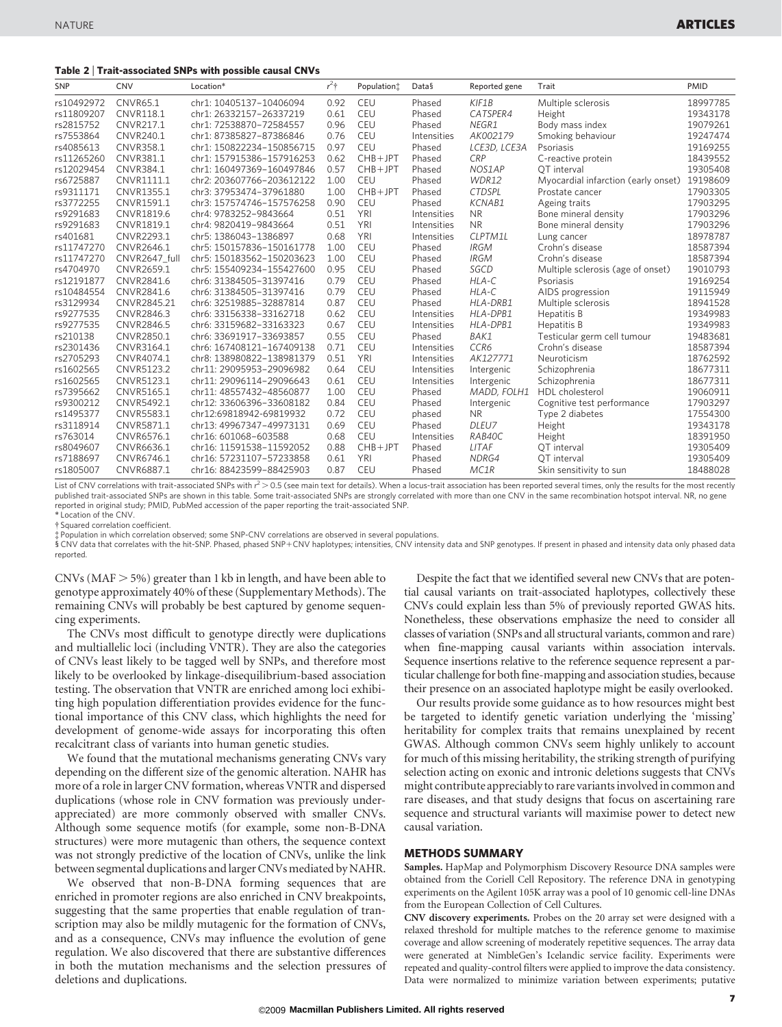#### Table 2 <sup>|</sup> Trait-associated SNPs with possible causal CNVs

| <b>SNP</b> | <b>CNV</b>       | Location*                 | $r^2$ † | Populationt | Data§       | Reported gene | Trait                               | PMID     |
|------------|------------------|---------------------------|---------|-------------|-------------|---------------|-------------------------------------|----------|
| rs10492972 | <b>CNVR65.1</b>  | chr1: 10405137-10406094   | 0.92    | <b>CEU</b>  | Phased      | KIF1B         | Multiple sclerosis                  | 18997785 |
| rs11809207 | <b>CNVR118.1</b> | chr1: 26332157-26337219   | 0.61    | <b>CEU</b>  | Phased      | CATSPER4      | Height                              | 19343178 |
| rs2815752  | CNVR217.1        | chr1: 72538870-72584557   | 0.96    | <b>CEU</b>  | Phased      | NEGR1         | Body mass index                     | 19079261 |
| rs7553864  | CNVR240.1        | chr1: 87385827-87386846   | 0.76    | <b>CEU</b>  | Intensities | AK002179      | Smoking behaviour                   | 19247474 |
| rs4085613  | CNVR358.1        | chr1: 150822234-150856715 | 0.97    | <b>CEU</b>  | Phased      | LCE3D, LCE3A  | Psoriasis                           | 19169255 |
| rs11265260 | CNVR381.1        | chr1: 157915386-157916253 | 0.62    | $CHB+JPT$   | Phased      | <b>CRP</b>    | C-reactive protein                  | 18439552 |
| rs12029454 | CNVR384.1        | chr1: 160497369-160497846 | 0.57    | $CHB+JPT$   | Phased      | NOS1AP        | QT interval                         | 19305408 |
| rs6725887  | CNVR1111.1       | chr2: 203607766-203612122 | 1.00    | <b>CEU</b>  | Phased      | WDR12         | Myocardial infarction (early onset) | 19198609 |
| rs9311171  | CNVR1355.1       | chr3: 37953474-37961880   | 1.00    | $CHB+JPT$   | Phased      | <b>CTDSPL</b> | Prostate cancer                     | 17903305 |
| rs3772255  | CNVR1591.1       | chr3: 157574746-157576258 | 0.90    | <b>CEU</b>  | Phased      | KCNAB1        | Ageing traits                       | 17903295 |
| rs9291683  | CNVR1819.6       | chr4: 9783252-9843664     | 0.51    | <b>YRI</b>  | Intensities | <b>NR</b>     | Bone mineral density                | 17903296 |
| rs9291683  | CNVR1819.1       | chr4: 9820419-9843664     | 0.51    | <b>YRI</b>  | Intensities | <b>NR</b>     | Bone mineral density                | 17903296 |
| rs401681   | CNVR2293.1       | chr5: 1386043-1386897     | 0.68    | <b>YRI</b>  | Intensities | CLPTM1L       | Lung cancer                         | 18978787 |
| rs11747270 | CNVR2646.1       | chr5: 150157836-150161778 | 1.00    | <b>CEU</b>  | Phased      | <b>IRGM</b>   | Crohn's disease                     | 18587394 |
| rs11747270 | CNVR2647 full    | chr5: 150183562-150203623 | 1.00    | <b>CEU</b>  | Phased      | <b>IRGM</b>   | Crohn's disease                     | 18587394 |
| rs4704970  | CNVR2659.1       | chr5: 155409234-155427600 | 0.95    | <b>CEU</b>  | Phased      | SGCD          | Multiple sclerosis (age of onset)   | 19010793 |
| rs12191877 | CNVR2841.6       | chr6: 31384505-31397416   | 0.79    | CEU         | Phased      | HLA-C         | Psoriasis                           | 19169254 |
| rs10484554 | CNVR2841.6       | chr6: 31384505-31397416   | 0.79    | <b>CEU</b>  | Phased      | HLA-C         | AIDS progression                    | 19115949 |
| rs3129934  | CNVR2845.21      | chr6: 32519885-32887814   | 0.87    | <b>CEU</b>  | Phased      | HLA-DRB1      | Multiple sclerosis                  | 18941528 |
| rs9277535  | CNVR2846.3       | chr6: 33156338-33162718   | 0.62    | CEU         | Intensities | HLA-DPB1      | Hepatitis B                         | 19349983 |
| rs9277535  | CNVR2846.5       | chr6: 33159682-33163323   | 0.67    | <b>CEU</b>  | Intensities | HLA-DPB1      | Hepatitis B                         | 19349983 |
| rs210138   | CNVR2850.1       | chr6: 33691917-33693857   | 0.55    | <b>CEU</b>  | Phased      | BAK1          | Testicular germ cell tumour         | 19483681 |
| rs2301436  | CNVR3164.1       | chr6: 167408121-167409138 | 0.71    | CEU         | Intensities | CCR6          | Crohn's disease                     | 18587394 |
| rs2705293  | CNVR4074.1       | chr8: 138980822-138981379 | 0.51    | <b>YRI</b>  | Intensities | AK127771      | Neuroticism                         | 18762592 |
| rs1602565  | CNVR5123.2       | chr11: 29095953-29096982  | 0.64    | <b>CEU</b>  | Intensities | Intergenic    | Schizophrenia                       | 18677311 |
| rs1602565  | CNVR5123.1       | chr11: 29096114-29096643  | 0.61    | CEU         | Intensities | Intergenic    | Schizophrenia                       | 18677311 |
| rs7395662  | CNVR5165.1       | chr11: 48557432-48560877  | 1.00    | CEU         | Phased      | MADD, FOLH1   | HDL cholesterol                     | 19060911 |
| rs9300212  | CNVR5492.1       | chr12: 33606396-33608182  | 0.84    | CEU         | Phased      | Intergenic    | Cognitive test performance          | 17903297 |
| rs1495377  | CNVR5583.1       | chr12:69818942-69819932   | 0.72    | CEU         | phased      | <b>NR</b>     | Type 2 diabetes                     | 17554300 |
| rs3118914  | CNVR5871.1       | chr13: 49967347-49973131  | 0.69    | <b>CEU</b>  | Phased      | DLEU7         | Height                              | 19343178 |
| rs763014   | CNVR6576.1       | chr16: 601068-603588      | 0.68    | CEU         | Intensities | RAB40C        | Height                              | 18391950 |
| rs8049607  | CNVR6636.1       | chr16: 11591538-11592052  | 0.88    | $CHB+JPT$   | Phased      | LITAF         | QT interval                         | 19305409 |
| rs7188697  | CNVR6746.1       | chr16: 57231107-57233858  | 0.61    | <b>YRI</b>  | Phased      | NDRG4         | QT interval                         | 19305409 |
| rs1805007  | CNVR6887.1       | chr16: 88423599-88425903  | 0.87    | <b>CEU</b>  | Phased      | MC1R          | Skin sensitivity to sun             | 18488028 |

List of CNV correlations with trait-associated SNPs with  $r^2 > 0.5$  (see main text for details). When a locus-trait association has been reported several times, only the results for the most recently published trait-associated SNPs are shown in this table. Some trait-associated SNPs are strongly correlated with more than one CNV in the same recombination hotspot interval. NR, no gene reported in original study; PMID, PubMed accession of the paper reporting the trait-associated SNP.

\* Location of the CNV.

{ Squared correlation coefficient.

{ Population in which correlation observed; some SNP-CNV correlations are observed in several populations.

 $\frac{1}{2}$  CNV data that correlates with the hit-SNP. Phased, phased SNP+CNV haplotypes; intensities, CNV intensity data and SNP genotypes. If present in phased and intensity data only phased data reported.

CNVs ( $MAF > 5\%$ ) greater than 1 kb in length, and have been able to genotype approximately 40% of these (Supplementary Methods). The remaining CNVs will probably be best captured by genome sequencing experiments.

The CNVs most difficult to genotype directly were duplications and multiallelic loci (including VNTR). They are also the categories of CNVs least likely to be tagged well by SNPs, and therefore most likely to be overlooked by linkage-disequilibrium-based association testing. The observation that VNTR are enriched among loci exhibiting high population differentiation provides evidence for the functional importance of this CNV class, which highlights the need for development of genome-wide assays for incorporating this often recalcitrant class of variants into human genetic studies.

We found that the mutational mechanisms generating CNVs vary depending on the different size of the genomic alteration. NAHR has more of a role in larger CNV formation, whereas VNTR and dispersed duplications (whose role in CNV formation was previously underappreciated) are more commonly observed with smaller CNVs. Although some sequence motifs (for example, some non-B-DNA structures) were more mutagenic than others, the sequence context was not strongly predictive of the location of CNVs, unlike the link between segmental duplications and larger CNVs mediated by NAHR.

We observed that non-B-DNA forming sequences that are enriched in promoter regions are also enriched in CNV breakpoints, suggesting that the same properties that enable regulation of transcription may also be mildly mutagenic for the formation of CNVs, and as a consequence, CNVs may influence the evolution of gene regulation. We also discovered that there are substantive differences in both the mutation mechanisms and the selection pressures of deletions and duplications.

Despite the fact that we identified several new CNVs that are potential causal variants on trait-associated haplotypes, collectively these CNVs could explain less than 5% of previously reported GWAS hits. Nonetheless, these observations emphasize the need to consider all classes of variation (SNPs and all structural variants, common and rare) when fine-mapping causal variants within association intervals. Sequence insertions relative to the reference sequence represent a particular challenge for both fine-mapping and association studies, because their presence on an associated haplotype might be easily overlooked.

Our results provide some guidance as to how resources might best be targeted to identify genetic variation underlying the 'missing' heritability for complex traits that remains unexplained by recent GWAS. Although common CNVs seem highly unlikely to account for much of this missing heritability, the striking strength of purifying selection acting on exonic and intronic deletions suggests that CNVs might contribute appreciably to rare variants involved in common and rare diseases, and that study designs that focus on ascertaining rare sequence and structural variants will maximise power to detect new causal variation.

#### METHODS SUMMARY

Samples. HapMap and Polymorphism Discovery Resource DNA samples were obtained from the Coriell Cell Repository. The reference DNA in genotyping experiments on the Agilent 105K array was a pool of 10 genomic cell-line DNAs from the European Collection of Cell Cultures.

CNV discovery experiments. Probes on the 20 array set were designed with a relaxed threshold for multiple matches to the reference genome to maximise coverage and allow screening of moderately repetitive sequences. The array data were generated at NimbleGen's Icelandic service facility. Experiments were repeated and quality-control filters were applied to improve the data consistency. Data were normalized to minimize variation between experiments; putative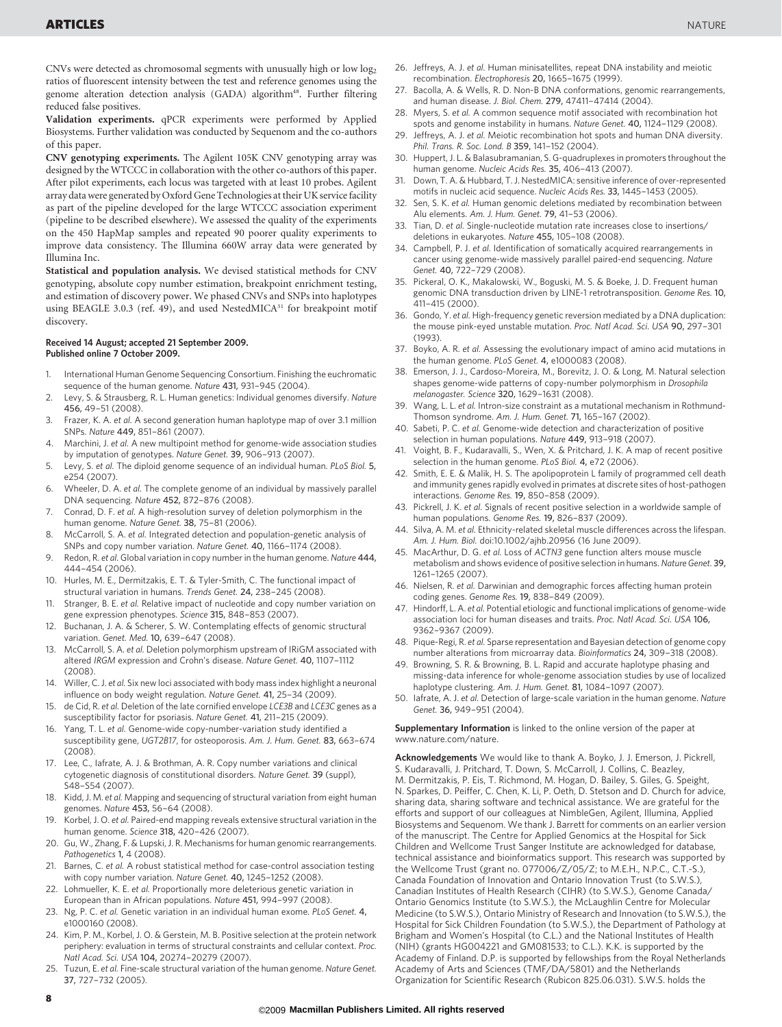CNVs were detected as chromosomal segments with unusually high or low log<sub>2</sub> ratios of fluorescent intensity between the test and reference genomes using the genome alteration detection analysis (GADA) algorithm<sup>48</sup>. Further filtering reduced false positives.

Validation experiments. qPCR experiments were performed by Applied Biosystems. Further validation was conducted by Sequenom and the co-authors of this paper.

CNV genotyping experiments. The Agilent 105K CNV genotyping array was designed by the WTCCC in collaboration with the other co-authors of this paper. After pilot experiments, each locus was targeted with at least 10 probes. Agilent array data were generated by Oxford Gene Technologies at their UK service facility as part of the pipeline developed for the large WTCCC association experiment (pipeline to be described elsewhere). We assessed the quality of the experiments on the 450 HapMap samples and repeated 90 poorer quality experiments to improve data consistency. The Illumina 660W array data were generated by Illumina Inc.

Statistical and population analysis. We devised statistical methods for CNV genotyping, absolute copy number estimation, breakpoint enrichment testing, and estimation of discovery power. We phased CNVs and SNPs into haplotypes using BEAGLE 3.0.3 (ref. 49), and used NestedMICA<sup>31</sup> for breakpoint motif discovery.

#### Received 14 August; accepted 21 September 2009. Published online 7 October 2009.

- 1. International Human Genome Sequencing Consortium. Finishing the euchromatic sequence of the human genome. Nature 431, 931–945 (2004).
- 2. Levy, S. & Strausberg, R. L. Human genetics: Individual genomes diversify. Nature 456, 49–51 (2008).
- 3. Frazer, K. A. et al. A second generation human haplotype map of over 3.1 million SNPs. Nature 449, 851–861 (2007).
- 4. Marchini, J. et al. A new multipoint method for genome-wide association studies by imputation of genotypes. Nature Genet. 39, 906–913 (2007).
- 5. Levy, S. et al. The diploid genome sequence of an individual human. PLoS Biol. 5, e254 (2007).
- 6. Wheeler, D. A. et al. The complete genome of an individual by massively parallel DNA sequencing. Nature 452, 872–876 (2008).
- Conrad, D. F. et al. A high-resolution survey of deletion polymorphism in the human genome. Nature Genet. 38, 75–81 (2006).
- 8. McCarroll, S. A. et al. Integrated detection and population-genetic analysis of SNPs and copy number variation. Nature Genet. 40, 1166–1174 (2008).
- 9. Redon, R. et al. Global variation in copy number in the human genome. Nature 444, 444–454 (2006).
- 10. Hurles, M. E., Dermitzakis, E. T. & Tyler-Smith, C. The functional impact of structural variation in humans. Trends Genet. 24, 238–245 (2008).
- 11. Stranger, B. E. et al. Relative impact of nucleotide and copy number variation on gene expression phenotypes. Science 315, 848-853 (2007).
- Buchanan, J. A. & Scherer, S. W. Contemplating effects of genomic structural variation. Genet. Med. 10, 639–647 (2008).
- 13. McCarroll, S. A. et al. Deletion polymorphism upstream of IRiGM associated with altered IRGM expression and Crohn's disease. Nature Genet. 40, 1107–1112 (2008).
- 14. Willer, C. J. et al. Six new loci associated with body mass index highlight a neuronal influence on body weight regulation. Nature Genet. 41, 25–34 (2009).
- 15. de Cid, R. et al. Deletion of the late cornified envelope LCE3B and LCE3C genes as a susceptibility factor for psoriasis. Nature Genet. 41, 211–215 (2009).
- 16. Yang, T. L. et al. Genome-wide copy-number-variation study identified a susceptibility gene, UGT2B17, for osteoporosis. Am. J. Hum. Genet. 83, 663–674 (2008).
- 17. Lee, C., Iafrate, A. J. & Brothman, A. R. Copy number variations and clinical cytogenetic diagnosis of constitutional disorders. Nature Genet. 39 (suppl), S48–S54 (2007).
- 18. Kidd, J. M. et al. Mapping and sequencing of structural variation from eight human genomes. Nature 453, 56–64 (2008).
- 19. Korbel, J. O. et al. Paired-end mapping reveals extensive structural variation in the human genome. Science 318, 420–426 (2007).
- 20. Gu, W., Zhang, F. & Lupski, J. R. Mechanisms for human genomic rearrangements. Pathogenetics 1, 4 (2008).
- 21. Barnes, C. et al. A robust statistical method for case-control association testing with copy number variation. Nature Genet. 40, 1245–1252 (2008).
- 22. Lohmueller, K. E. et al. Proportionally more deleterious genetic variation in European than in African populations. Nature 451, 994–997 (2008).
- 23. Ng, P. C. et al. Genetic variation in an individual human exome. PLoS Genet. 4, e1000160 (2008)
- 24. Kim, P. M., Korbel, J. O. & Gerstein, M. B. Positive selection at the protein network periphery: evaluation in terms of structural constraints and cellular context. Proc. Natl Acad. Sci. USA 104, 20274–20279 (2007).
- Tuzun, E. et al. Fine-scale structural variation of the human genome. Nature Genet. 37, 727–732 (2005).
- 26. Jeffreys, A. J. et al. Human minisatellites, repeat DNA instability and meiotic recombination. Electrophoresis 20, 1665–1675 (1999).
- 27. Bacolla, A. & Wells, R. D. Non-B DNA conformations, genomic rearrangements, and human disease. J. Biol. Chem. 279, 47411–47414 (2004).
- 28. Myers, S. et al. A common sequence motif associated with recombination hot spots and genome instability in humans. Nature Genet. 40, 1124–1129 (2008).
- 29. Jeffreys, A. J. et al. Meiotic recombination hot spots and human DNA diversity. Phil. Trans. R. Soc. Lond. B 359, 141–152 (2004).
- 30. Huppert, J. L. & Balasubramanian, S. G-quadruplexes in promoters throughout the human genome. Nucleic Acids Res. 35, 406–413 (2007).
- Down, T. A. & Hubbard, T. J. NestedMICA: sensitive inference of over-represented motifs in nucleic acid sequence. Nucleic Acids Res. 33, 1445–1453 (2005).
- Sen, S. K. et al. Human genomic deletions mediated by recombination between Alu elements. Am. J. Hum. Genet. 79, 41–53 (2006).
- Tian, D. et al. Single-nucleotide mutation rate increases close to insertions/ deletions in eukaryotes. Nature 455, 105–108 (2008).
- 34. Campbell, P. J. et al. Identification of somatically acquired rearrangements in cancer using genome-wide massively parallel paired-end sequencing. Nature Genet. 40, 722–729 (2008).
- 35. Pickeral, O. K., Makalowski, W., Boguski, M. S. & Boeke, J. D. Frequent human genomic DNA transduction driven by LINE-1 retrotransposition. Genome Res. 10, 411–415 (2000).
- 36. Gondo, Y. et al. High-frequency genetic reversion mediated by a DNA duplication: the mouse pink-eyed unstable mutation. Proc. Natl Acad. Sci. USA 90, 297–301 (1993).
- 37. Boyko, A. R. et al. Assessing the evolutionary impact of amino acid mutations in the human genome. PLoS Genet. 4, e1000083 (2008).
- 38. Emerson, J. J., Cardoso-Moreira, M., Borevitz, J. O. & Long, M. Natural selection shapes genome-wide patterns of copy-number polymorphism in Drosophila melanogaster. Science 320, 1629–1631 (2008).
- 39. Wang, L. L. et al. Intron-size constraint as a mutational mechanism in Rothmund-Thomson syndrome. Am. J. Hum. Genet. 71, 165–167 (2002).
- 40. Sabeti, P. C. et al. Genome-wide detection and characterization of positive selection in human populations. Nature 449, 913-918 (2007)
- 41. Voight, B. F., Kudaravalli, S., Wen, X. & Pritchard, J. K. A map of recent positive selection in the human genome. PLoS Biol. 4, e72 (2006).
- 42. Smith, E. E. & Malik, H. S. The apolipoprotein L family of programmed cell death and immunity genes rapidly evolved in primates at discrete sites of host-pathogen interactions. Genome Res. 19, 850–858 (2009).
- 43. Pickrell, J. K. et al. Signals of recent positive selection in a worldwide sample of human populations. Genome Res. 19, 826–837 (2009).
- 44. Silva, A. M. et al. Ethnicity-related skeletal muscle differences across the lifespan. Am. J. Hum. Biol. doi:10.1002/ajhb.20956 (16 June 2009).
- 45. MacArthur, D. G. et al. Loss of ACTN3 gene function alters mouse muscle metabolism and shows evidence of positive selection in humans. Nature Genet. 39, 1261–1265 (2007).
- 46. Nielsen, R. et al. Darwinian and demographic forces affecting human protein coding genes. Genome Res. 19, 838–849 (2009).
- 47. Hindorff, L. A. et al. Potential etiologic and functional implications of genome-wide association loci for human diseases and traits. Proc. Natl Acad. Sci. USA 106, 9362–9367 (2009).
- 48. Pique-Regi, R. et al. Sparse representation and Bayesian detection of genome copy number alterations from microarray data. Bioinformatics 24, 309–318 (2008).
- 49. Browning, S. R. & Browning, B. L. Rapid and accurate haplotype phasing and missing-data inference for whole-genome association studies by use of localized haplotype clustering. Am. J. Hum. Genet. 81, 1084–1097 (2007).
- 50. Iafrate, A. J. et al. Detection of large-scale variation in the human genome. Nature Genet. 36, 949–951 (2004).

Supplementary Information is linked to the online version of the paper at <www.nature.com/nature>.

Acknowledgements We would like to thank A. Boyko, J. J. Emerson, J. Pickrell, S. Kudaravalli, J. Pritchard, T. Down, S. McCarroll, J. Collins, C. Beazley, M. Dermitzakis, P. Eis, T. Richmond, M. Hogan, D. Bailey, S. Giles, G. Speight, N. Sparkes, D. Peiffer, C. Chen, K. Li, P. Oeth, D. Stetson and D. Church for advice, sharing data, sharing software and technical assistance. We are grateful for the efforts and support of our colleagues at NimbleGen, Agilent, Illumina, Applied Biosystems and Sequenom. We thank J. Barrett for comments on an earlier version of the manuscript. The Centre for Applied Genomics at the Hospital for Sick Children and Wellcome Trust Sanger Institute are acknowledged for database, technical assistance and bioinformatics support. This research was supported by the Wellcome Trust (grant no. 077006/Z/05/Z; to M.E.H., N.P.C., C.T.-S.), Canada Foundation of Innovation and Ontario Innovation Trust (to S.W.S.), Canadian Institutes of Health Research (CIHR) (to S.W.S.), Genome Canada/ Ontario Genomics Institute (to S.W.S.), the McLaughlin Centre for Molecular Medicine (to S.W.S.), Ontario Ministry of Research and Innovation (to S.W.S.), the Hospital for Sick Children Foundation (to S.W.S.), the Department of Pathology at Brigham and Women's Hospital (to C.L.) and the National Institutes of Health (NIH) (grants HG004221 and GM081533; to C.L.). K.K. is supported by the Academy of Finland. D.P. is supported by fellowships from the Royal Netherlands Academy of Arts and Sciences (TMF/DA/5801) and the Netherlands Organization for Scientific Research (Rubicon 825.06.031). S.W.S. holds the